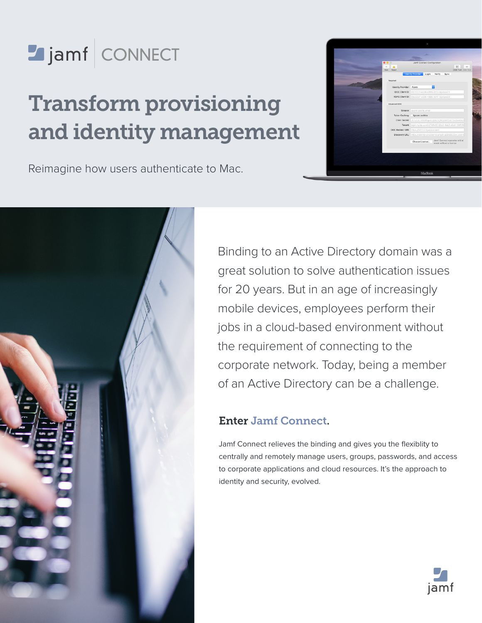

# Transform provisioning and identity management

Reimagine how users authenticate to Mac.





Binding to an Active Directory domain was a great solution to solve authentication issues for 20 years. But in an age of increasingly mobile devices, employees perform their jobs in a cloud-based environment without the requirement of connecting to the corporate network. Today, being a member of an Active Directory can be a challenge.

## Enter Jamf Connect.

Jamf Connect relieves the binding and gives you the flexiblity to centrally and remotely manage users, groups, passwords, and access to corporate applications and cloud resources. It's the approach to identity and security, evolved.